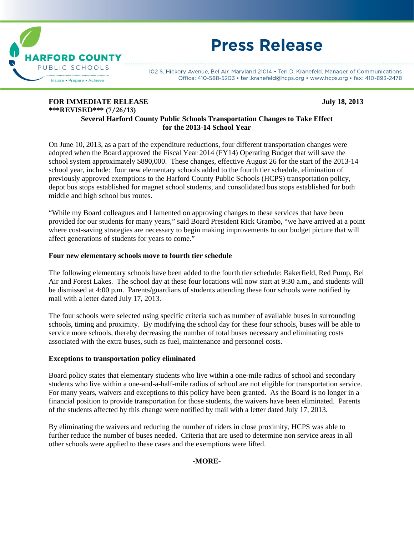

# **Press Release**

102 S. Hickory Avenue, Bel Air, Maryland 21014 • Teri D. Kranefeld, Manager of Communications Office: 410-588-5203 • teri.kranefeld@hcps.org • www.hcps.org • fax: 410-893-2478

## **FOR IMMEDIATE RELEASE 32013** July 18, 2013 **\*\*\*REVISED\*\*\* (7/26/13)**

### **Several Harford County Public Schools Transportation Changes to Take Effect for the 2013-14 School Year**

On June 10, 2013, as a part of the expenditure reductions, four different transportation changes were adopted when the Board approved the Fiscal Year 2014 (FY14) Operating Budget that will save the school system approximately \$890,000. These changes, effective August 26 for the start of the 2013-14 school year, include: four new elementary schools added to the fourth tier schedule, elimination of previously approved exemptions to the Harford County Public Schools (HCPS) transportation policy, depot bus stops established for magnet school students, and consolidated bus stops established for both middle and high school bus routes.

"While my Board colleagues and I lamented on approving changes to these services that have been provided for our students for many years," said Board President Rick Grambo, "we have arrived at a point where cost-saving strategies are necessary to begin making improvements to our budget picture that will affect generations of students for years to come."

#### **Four new elementary schools move to fourth tier schedule**

The following elementary schools have been added to the fourth tier schedule: Bakerfield, Red Pump, Bel Air and Forest Lakes. The school day at these four locations will now start at 9:30 a.m., and students will be dismissed at 4:00 p.m. Parents/guardians of students attending these four schools were notified by mail with a letter dated July 17, 2013.

The four schools were selected using specific criteria such as number of available buses in surrounding schools, timing and proximity. By modifying the school day for these four schools, buses will be able to service more schools, thereby decreasing the number of total buses necessary and eliminating costs associated with the extra buses, such as fuel, maintenance and personnel costs.

#### **Exceptions to transportation policy eliminated**

Board policy states that elementary students who live within a one-mile radius of school and secondary students who live within a one-and-a-half-mile radius of school are not eligible for transportation service. For many years, waivers and exceptions to this policy have been granted. As the Board is no longer in a financial position to provide transportation for those students, the waivers have been eliminated. Parents of the students affected by this change were notified by mail with a letter dated July 17, 2013.

By eliminating the waivers and reducing the number of riders in close proximity, HCPS was able to further reduce the number of buses needed. Criteria that are used to determine non service areas in all other schools were applied to these cases and the exemptions were lifted.

#### **-MORE-**